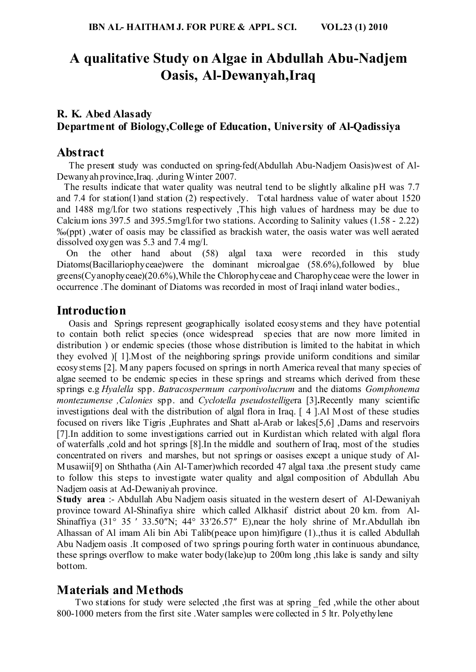# **A qualitative Study on Algae in Abdullah Abu-Nadjem Oasis, Al-Dewanyah,Iraq**

# **R. K. Abed Alasady Department of Biology,College of Education, University of Al-Qadissiya**

# **Abstract**

 The present study was conducted on spring-fed(Abdullah Abu-Nadjem Oasis)west of Al-Dewanyah province,Iraq. ,during Winter 2007.

 The results indicate that water quality was neutral tend to be slightly alkaline pH was 7.7 and 7.4 for station(1)and station (2) respectively. Total hardness value of water about 1520 and 1488 mg/l.for two stations respectively ,This high values of hardness may be due to Calcium ions 397.5 and 395.5mg/l.for two stations. According to Salinity values (1.58 - 2.22) ‰(ppt) ,water of oasis may be classified as brackish water, the oasis water was well aerated dissolved oxygen was 5.3 and 7.4 mg/l.

 On the other hand about (58) algal taxa were recorded in this study Diatoms(Bacillariophyceae)were the dominant microalgae (58.6%),followed by blue greens(Cyanophyceae)(20.6%),While the Chlorophyceae and Charophyceae were the lower in occurrence .The dominant of Diatoms was recorded in most of Iraqi inland water bodies.,

## **Introduction**

 Oasis and Springs represent geographically isolated ecosystems and they have potential to contain both relict species (once widespread species that are now more limited in distribution ) or endemic species (those whose distribution is limited to the habitat in which they evolved )[ 1].Most of the neighboring springs provide uniform conditions and similar ecosystems [2]. M any papers focused on springs in north America reveal that many species of algae seemed to be endemic species in these springs and streams which derived from these springs e.g *Hyalella* spp. *Batracospermum carponivolucrum* and the diatoms *Gomphonema montezumense ,Calonies* spp. and *Cyclotella pseudostellige*ra [3]**.**Recently many scientific investigations deal with the distribution of algal flora in Iraq. [ 4 ].Al Most of these studies focused on rivers like Tigris ,Euphrates and Shatt al-Arab or lakes[5,6] ,Dams and reservoirs [7].In addition to some investigations carried out in Kurdistan which related with algal flora of waterfalls ,cold and hot springs [8].In the middle and southern of Iraq, most of the studies concentrated on rivers and marshes, but not springs or oasises except a unique study of Al-Musawii[9] on Shthatha (Ain Al-Tamer)which recorded 47 algal taxa .the present study came to follow this steps to investigate water quality and algal composition of Abdullah Abu Nadjem oasis at Ad-Dewaniyah province.

**Study area** :- Abdullah Abu Nadjem oasis situated in the western desert of Al-Dewaniyah province toward Al-Shinafiya shire which called Alkhasif district about 20 km. from Al-Shinaffiya (31° 35 ′ 33.50″N; 44° 33′26.57″ E),near the holy shrine of Mr.Abdullah ibn Alhassan of Al imam Ali bin Abi Talib(peace upon him)figure (1).,thus it is called Abdullah Abu Nadjem oasis .It composed of two springs pouring forth water in continuous abundance, these springs overflow to make water body(lake)up to 200m long ,this lake is sandy and silty bottom.

# **Materials and Methods**

Two stations for study were selected , the first was at spring fed , while the other about 800-1000 meters from the first site .Water samples were collected in 5 ltr. Polyethylene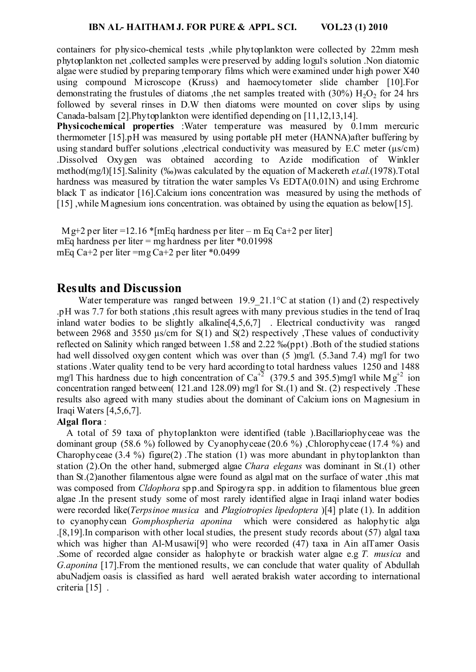containers for physico-chemical tests ,while phytoplankton were collected by 22mm mesh phytoplankton net ,collected samples were preserved by adding logul's solution .Non diatomic algae were studied by preparing temporary films which were examined under high power X40 using compound Microscope (Kruss) and haemocytometer slide chamber [10].For demonstrating the frustules of diatoms , the net samples treated with  $(30\%)$  H<sub>2</sub>O<sub>2</sub> for 24 hrs followed by several rinses in D.W then diatoms were mounted on cover slips by using Canada-balsam [2].Phytoplankton were identified depending on [11,12,13,14].

**Physicochemical properties** :Water temperature was measured by 0.1mm mercuric thermometer [15].pH was measured by using portable pH meter (HANNA)after buffering by using standard buffer solutions ,electrical conductivity was measured by E.C meter (µs/cm) .Dissolved Oxygen was obtained according to Azide modification of Winkler method(mg/l)[15].Salinity (‰)was calculated by the equation of Mackereth *et.al*.(1978).Total hardness was measured by titration the water samples Vs EDTA(0.01N) and using Erchrome black T as indicator [16].Calcium ions concentration was measured by using the methods of [15] ,while Magnesium ions concentration. was obtained by using the equation as below[15].

Mg+2 per liter =12.16  $*$ [mEq hardness per liter – m Eq Ca+2 per liter] mEq hardness per liter = mg hardness per liter \*0.01998 mEq Ca+2 per liter =mg Ca+2 per liter \*0.0499

## **Results and Discussion**

Water temperature was ranged between 19.9  $21.1^{\circ}$ C at station (1) and (2) respectively .pH was 7.7 for both stations ,this result agrees with many previous studies in the tend of Iraq inland water bodies to be slightly alkaline[4,5,6,7] . Electrical conductivity was ranged between 2968 and 3550 µs/cm for S(1) and S(2) respectively ,These values of conductivity reflected on Salinity which ranged between 1.58 and 2.22 ‰(ppt) .Both of the studied stations had well dissolved oxygen content which was over than  $(5 \text{ )mg/l}$ .  $(5.3 \text{ and } 7.4)$  mg/l for two stations .Water quality tend to be very hard according to total hardness values 1250 and 1488 mg/l This hardness due to high concentration of  $Ca^{2}$  (379.5 and 395.5)mg/l while Mg<sup>+2</sup> ion concentration ranged between( 121.and 128.09) mg/l for St.(1) and St. (2) respectively .These results also agreed with many studies about the dominant of Calcium ions on Magnesium in Iraqi Waters [4,5,6,7].

### **Algal flora** :

 A total of 59 taxa of phytoplankton were identified (table ).Bacillariophyceae was the dominant group (58.6 %) followed by Cyanophyceae (20.6 %) ,Chlorophyceae (17.4 %) and Charophyceae (3.4 %) figure(2). The station (1) was more abundant in phytoplankton than station (2).On the other hand, submerged algae *Chara elegans* was dominant in St.(1) other than St.(2)another filamentous algae were found as algal mat on the surface of water ,this mat was composed from *Cldophora* spp.and Spirogyra spp. in addition to filamentous blue green algae .In the present study some of most rarely identified algae in Iraqi inland water bodies were recorded like(*Terpsinoe musica* and *Plagiotropies lipedoptera* )[4] plate (1). In addition to cyanophycean *Gomphospheria aponina* which were considered as halophytic alga .[8,19].In comparison with other local studies, the present study records about (57) algal taxa which was higher than Al-Musawi<sup>[9]</sup> who were recorded (47) taxa in Ain alTamer Oasis .Some of recorded algae consider as halophyte or brackish water algae e.g *T. musica* and *G.aponina* [17].From the mentioned results, we can conclude that water quality of Abdullah abuNadjem oasis is classified as hard well aerated brakish water according to international criteria [15] .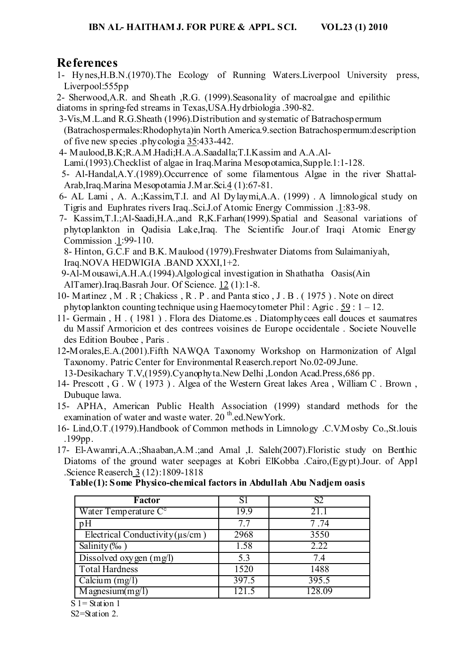# **References**

1- Hynes,H.B.N.(1970).The Ecology of Running Waters.Liverpool University press, Liverpool:555pp

2- Sherwood,A.R. and Sheath ,R.G. (1999).Seasonality of macroalgae and epilithic diatoms in spring-fed streams in Texas,USA.Hydrbiologia .390-82.

 3-Vis,M.L.and R.G.Sheath (1996).Distribution and systematic of Batrachospermum (Batrachospermales:Rhodophyta)in North America.9.section Batrachospermum:description of five new species .phycologia 35:433-442.

4- Maulood,B.K;R.A.M.Hadi;H.A.A.Saadalla;T.I.Kassim and A.A.Al-

Lami.(1993).Checklist of algae in Iraq.Marina Mesopotamica,Supple.1:1-128.

 5- Al-Handal,A.Y.(1989).Occurrence of some filamentous Algae in the river Shattal-Arab,Iraq.Marina Mesopotamia J.M ar.Sci.4 (1):67-81.

- 6- AL Lami , A. A.;Kassim,T.I. and Al Dylaymi,A.A. (1999) . A limnological study on Tigris and Euphrates rivers Iraq..Sci.J.of Atomic Energy Commission .1:83-98.
- 7- Kassim,T.I.;Al-Saadi,H.A.,and R,K.Farhan(1999).Spatial and Seasonal variations of phytoplankton in Qadisia Lake,Iraq. The Scientific Jour.of Iraqi Atomic Energy Commission .1:99-110.

 8- Hinton, G.C.F and B.K. Maulood (1979).Freshwater Diatoms from Sulaimaniyah, Iraq.NOVA HEDWIGIA .BAND XXXI,1+2.

 9-Al-Mousawi,A.H.A.(1994).Algological investigation in Shathatha Oasis(Ain AlTamer).Iraq.Basrah Jour. Of Science. 12 (1):1-8.

- 10- Martinez , M . R ; Chakicss , R . P . and Panta stico , J . B . ( 1975 ) . Note on direct phytoplankton counting technique using Haemocytometer Phil : Agric .  $59:1-12$ .
- 11- Germain , H . ( 1981 ) . Flora des Diatome.es . Diatomphycees eall douces et saumatres du Massif Armoricion et des contrees voisines de Europe occidentale . Societe Nouvelle des Edition Boubee , Paris .

12**-**Morales,E.A.(2001).Fifth NAWQA Taxonomy Workshop on Harmonization of Algal Taxonomy. Patric Center for Environmental Reaserch.report No.02-09.June.

- 13-Desikachary T.V,(1959).Cyanophyta.New Delhi ,London Acad.Press,686 pp.
- 14- Prescott , G . W ( 1973 ) . Algea of the Western Great lakes Area , William C . Brown , Dubuque lawa.

15- APHA, American Public Health Association (1999) standard methods for the examination of water and waste water.  $20^{th}$ ed.NewYork.

16- Lind,O.T.(1979).Handbook of Common methods in Limnology .C.V.Mosby Co.,St.louis .199pp.

17- El-Awamri,A.A.;Shaaban,A.M .;and Amal ,I. Saleh(2007).Floristic study on Benthic Diatoms of the ground water seepages at Kobri ElKobba .Cairo,(Egypt).Jour. of Appl .Science Reaserch 3 (12):1809-1818

 **Table(1): Some Physico-chemical factors in Abdullah Abu Nadjem oasis**

| Factor                                 | S1    | S <sub>2</sub> |
|----------------------------------------|-------|----------------|
| Water Temperature C°                   | 19.9  | 21.1           |
| pH                                     | 7.7   | 7.74           |
| Electrical Conductivity ( $\mu s/cm$ ) | 2968  | 3550           |
| Salinity $(\%$ <sup>o</sup> )          | 1.58  | 2.22           |
| Dissolved oxygen (mg/l)                | 5.3   | 7.4            |
| <b>Total Hardness</b>                  | 1520  | 1488           |
| Calcium $(mg/l)$                       | 397.5 | 395.5          |
| $M$ agnesium $(mg/l)$                  | 121.5 | 128.09         |

 $S = Station 1$ 

S2=Station 2.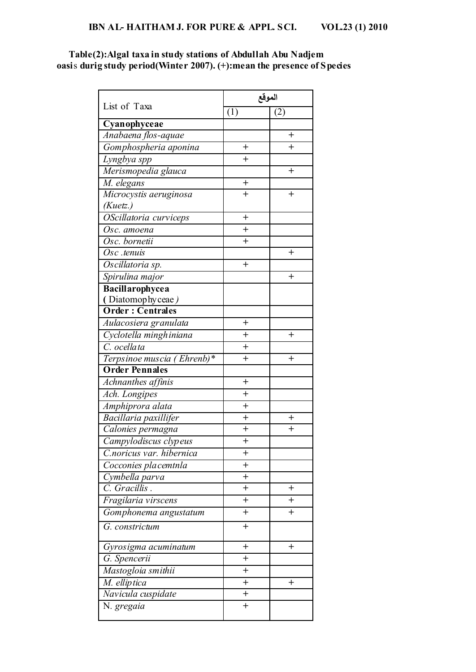# **Table(2):Algal taxa in study stations of Abdullah Abu Nadjem oasi**s **durig study period(Winter 2007). (+):mean the presence of Species**

| List of Taxa                 | الموقع           |           |  |
|------------------------------|------------------|-----------|--|
|                              | (1)              | (2)       |  |
| Cyanophyceae                 |                  |           |  |
| Anabaena flos-aquae          |                  | $\ddot{}$ |  |
| Gomphospheria aponina        | $+$              | $+$       |  |
| Lyngbya spp                  | $\ddot{}$        |           |  |
| Merismopedia glauca          |                  | $+$       |  |
| M. elegans                   | $\ddot{}$        |           |  |
| Microcystis aeruginosa       | $+$              | $^{+}$    |  |
| (Kuetz.)                     |                  |           |  |
| OScillatoria curviceps       | $+$              |           |  |
| Osc. amoena                  | $\ddot{}$        |           |  |
| Osc. bornetii                | $\ddot{}$        |           |  |
| $Osc$ tenuis                 |                  | $^{+}$    |  |
| Oscillatoria sp.             | $\ddot{}$        |           |  |
| Spirulina major              |                  | $+$       |  |
| <b>Bacillarophycea</b>       |                  |           |  |
| (Diatomophyceae)             |                  |           |  |
| <b>Order: Centrales</b>      |                  |           |  |
| Aulacosiera granulata        | $+$              |           |  |
| Cyclotella minghiniana       | $^{+}$           | $^{+}$    |  |
| C. ocellata                  | $\ddot{}$        |           |  |
| Terpsinoe muscia (Ehrenb)*   | $^{+}$           | $^{+}$    |  |
| <b>Order Pennales</b>        |                  |           |  |
| Achnanthes affinis           | $\ddot{}$        |           |  |
| Ach. Longipes                | $\ddot{}$        |           |  |
| Amphiprora alata             | $\ddot{}$        |           |  |
| Bacillaria paxillifer        | $\ddot{}$        | $^{+}$    |  |
| Calonies permagna            | $^{+}$           | $^{+}$    |  |
| Campylodiscus clypeus        | $\boldsymbol{+}$ |           |  |
| C.noricus var. hibernica     | $^{+}$           |           |  |
| Cocconies placemtnla         | $^{+}$           |           |  |
| $\overline{C}$ ymbella parva | $^{+}$           |           |  |
| C. Gracillis.                | $\boldsymbol{+}$ | $^{+}$    |  |
| Fragilaria virscens          | $\ddot{}$        | $+$       |  |
| Gomphonema angustatum        | $^{+}$           | $^{+}$    |  |
| G. constrictum               | $\ddot{}$        |           |  |
| Gyrosigma acuminatum         | $^{+}$           | $^{+}$    |  |
| G. Spencerii                 | $+$              |           |  |
| Mastogloia smithii           | $\boldsymbol{+}$ |           |  |
| M. elliptica                 | $^{+}$           | $^{+}$    |  |
| Navicula cuspidate           | $^{+}$           |           |  |
| N. gregaia                   | $\ddot{}$        |           |  |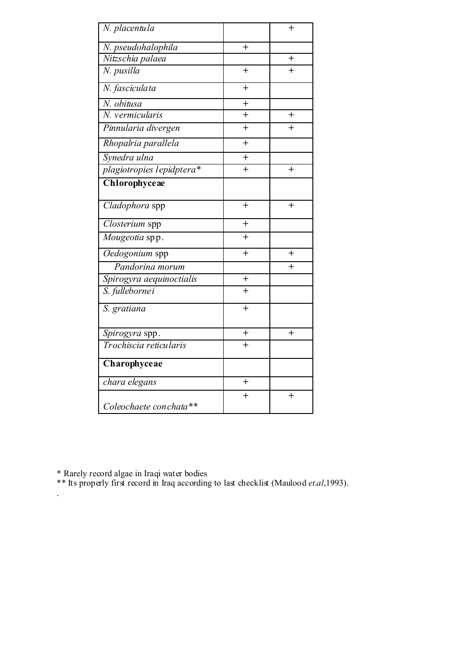| N. placentula                |                | $^{+}$         |
|------------------------------|----------------|----------------|
| N. pseudohalophila           | $\ddot{}$      |                |
| Nitzschia palaea             |                | $^{+}$         |
| N. pusilla                   | $+$            | $\ddot{}$      |
| N. fasciculata               | $\overline{+}$ |                |
| $N.$ obitusa                 | $+$            |                |
| N. vermicularis              | $\ddot{}$      | $\pm$          |
| Pinnularia divergen          | $\overline{+}$ | $\overline{+}$ |
| Rhopalria parallela          | $\overline{+}$ |                |
| Synedra ulna                 | $\ddot{}$      |                |
| plagiotropies lepidptera*    | $\overline{+}$ | $^{+}$         |
| Chlorophyceae                |                |                |
| Cladophora spp               | $^{+}$         | $^{+}$         |
| $\overline{Cl}$ osterium spp | $\overline{+}$ |                |
| Mougeotia spp.               | $+$            |                |
| Oedogonium spp               | $\ddot{}$      | $^{+}$         |
| Pandorina morum              |                | $\ddot{}$      |
| Spirogyra aequinoctialis     | $^{+}$         |                |
| S. fullebornei               | $\overline{+}$ |                |
| S. gratiana                  | $^{+}$         |                |
| Spirogyra spp.               | $\ddot{}$      | $\pm$          |
| Trochiscia reticularis       | $\ddot{}$      |                |
| Charophyceae                 |                |                |
| chara elegans                | $^{+}$         |                |
| Coleochaete conchata**       | $\pm$          | $\pm$          |

\* Rarely record algae in Iraqi water bodies

.

\*\* Its properly first record in Iraq according to last checklist (Maulood *et.al*,1993).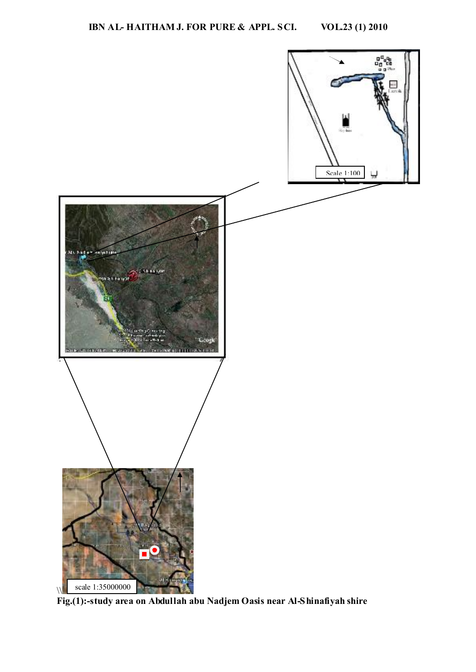

**Fig.(1):-study area on Abdullah abu Nadjem Oasis near Al-Shinafiyah shire**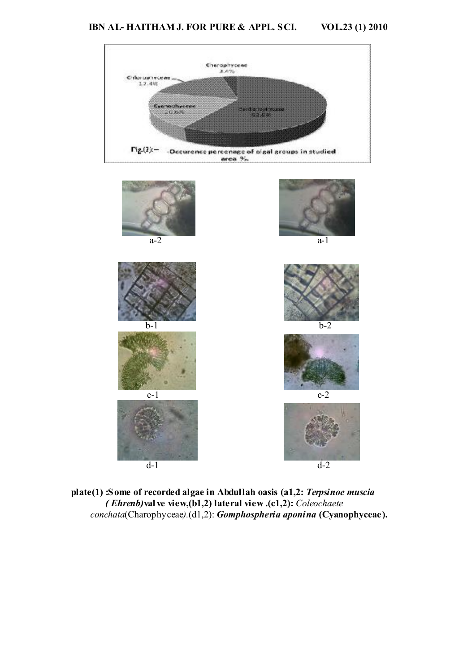

**plate(1) :Some of recorded algae in Abdullah oasis (a1,2:** *Terpsinoe muscia ( Ehrenb)***val ve view,(b1,2) lateral view .(c1,2):** *Coleochaete conchata*(Charophyceae*).*(d1,2): *Gomphospheria aponina* **(Cyanophyceae).**